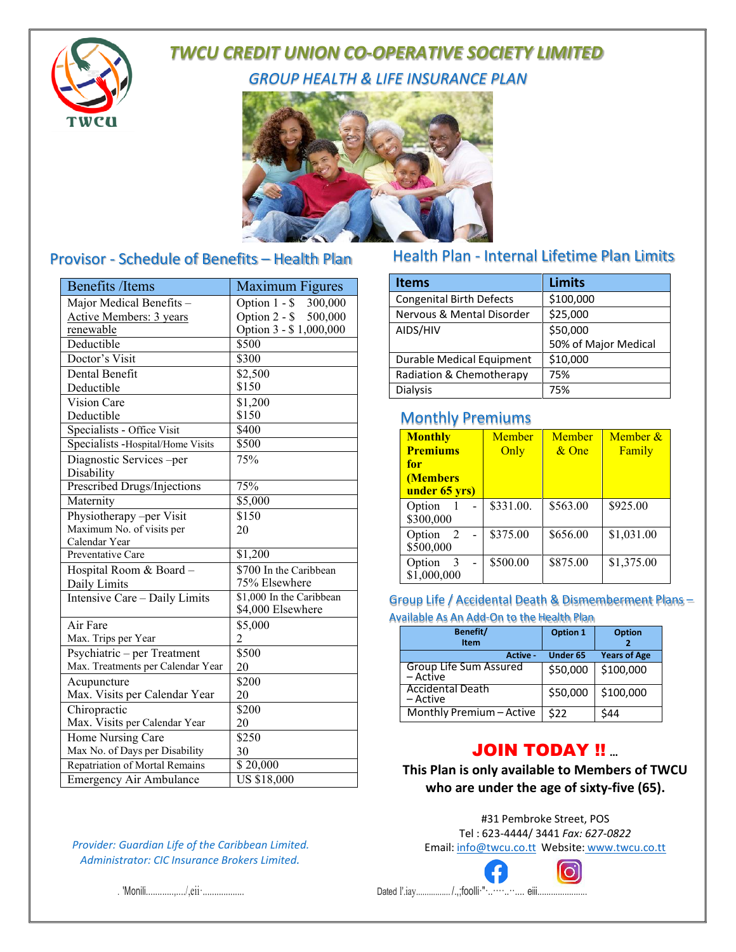

# **TWCU CREDIT UNION CO-OPERATIVE SOCIETY LIMITED**

**GROUP HEALTH & LIFE INSURANCE PLAN** 



## Provisor - Schedule of Benefits - Health Plan

| <b>Benefits /Items</b>                | <b>Maximum Figures</b>    |
|---------------------------------------|---------------------------|
| Major Medical Benefits -              | Option $1 - $$<br>300,000 |
| Active Members: 3 years               | Option 2 - \$<br>500,000  |
| renewable                             | Option 3 - \$1,000,000    |
| Deductible                            | \$500                     |
| Doctor's Visit                        | \$300                     |
| Dental Benefit                        | \$2,500                   |
| Deductible                            | \$150                     |
| Vision Care                           | \$1,200                   |
| Deductible                            | \$150                     |
| Specialists - Office Visit            | \$400                     |
| Specialists - Hospital/Home Visits    | \$500                     |
| Diagnostic Services -per              | 75%                       |
| Disability                            |                           |
| Prescribed Drugs/Injections           | 75%                       |
| Maternity                             | \$5,000                   |
| Physiotherapy -per Visit              | \$150                     |
| Maximum No. of visits per             | 20                        |
| Calendar Year                         |                           |
| Preventative Care                     | \$1,200                   |
| Hospital Room & Board -               | \$700 In the Caribbean    |
| Daily Limits                          | 75% Elsewhere             |
| Intensive Care - Daily Limits         | \$1,000 In the Caribbean  |
|                                       | \$4,000 Elsewhere         |
| Air Fare                              | \$5,000                   |
| Max. Trips per Year                   | 2                         |
| Psychiatric – per Treatment           | \$500                     |
| Max. Treatments per Calendar Year     | 20                        |
| Acupuncture                           | \$200                     |
| Max. Visits per Calendar Year         | 20                        |
| Chiropractic                          | \$200                     |
| Max. Visits per Calendar Year         | 20                        |
| Home Nursing Care                     | \$250                     |
| Max No. of Days per Disability        | 30                        |
| <b>Repatriation of Mortal Remains</b> | \$20,000                  |
| <b>Emergency Air Ambulance</b>        | <b>US \$18,000</b>        |

#### Provider: Guardian Life of the Caribbean Limited. Administrator: CIC Insurance Brokers Limited.

### Health Plan - Internal Lifetime Plan Limits

| <b>Items</b>                    | <b>Limits</b>        |
|---------------------------------|----------------------|
| <b>Congenital Birth Defects</b> | \$100,000            |
| Nervous & Mental Disorder       | \$25,000             |
| AIDS/HIV                        | \$50,000             |
|                                 | 50% of Major Medical |
| Durable Medical Equipment       | \$10,000             |
| Radiation & Chemotherapy        | 75%                  |
| <b>Dialysis</b>                 | 75%                  |

## **Monthly Premiums**

| <b>Monthly</b><br><b>Premiums</b><br>for<br>(Members<br>under 65 yrs) | Member<br>Only | Member<br>$\&$ One | Member &<br>Family |
|-----------------------------------------------------------------------|----------------|--------------------|--------------------|
| Option<br>\$300,000                                                   | \$331.00.      | \$563.00           | \$925.00           |
| 2<br>Option<br>\$500,000                                              | \$375.00       | \$656.00           | \$1,031.00         |
| 3<br>Option<br>\$1,000,000                                            | \$500.00       | \$875.00           | \$1,375.00         |

### Group Life / Accidental Death & Dismemberment Plans -

Available As An Add-On to the Health Plan

| Benefit/<br><b>Item</b>             | Option 1        | <b>Option</b>       |
|-------------------------------------|-----------------|---------------------|
| Active -                            | <b>Under 65</b> | <b>Years of Age</b> |
| Group Life Sum Assured<br>– Active  | \$50,000        | \$100,000           |
| <b>Accidental Death</b><br>– Active | \$50,000        | \$100,000           |
| Monthly Premium - Active            | \$22            | \$44                |

# **JOIN TODAY !!**

This Plan is only available to Members of TWCU who are under the age of sixty-five (65).

#31 Pembroke Street, POS Tel: 623-4444/ 3441 Fax: 627-0822 Email: info@twcu.co.tt Website: www.twcu.co.tt



. 'Monili................./,eii ...................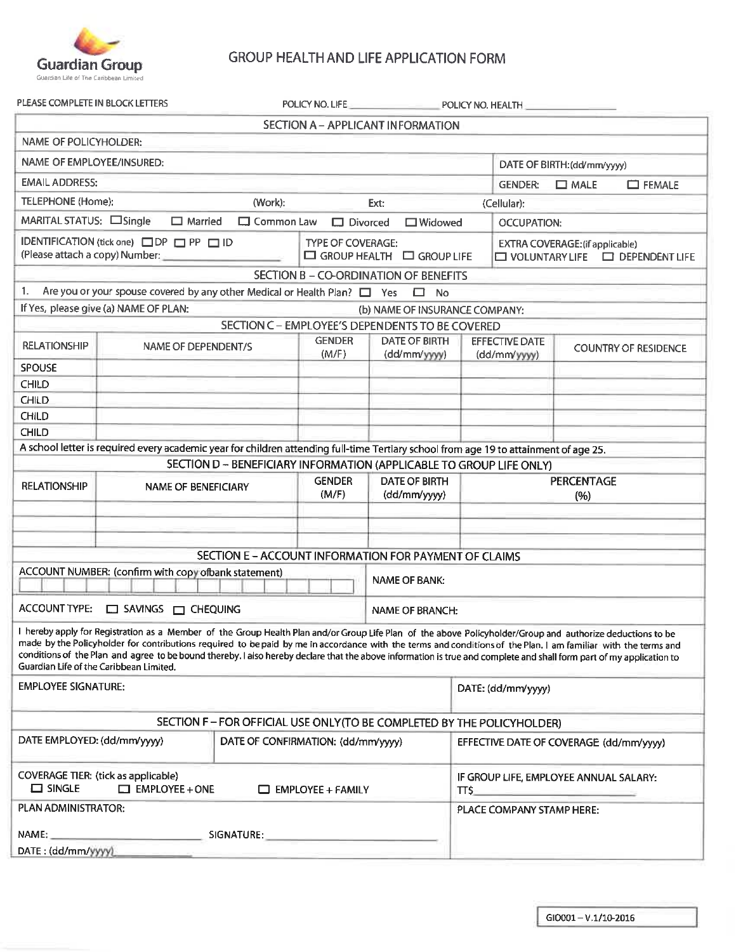

### GROUP HEALTH AND LIFE APPLICATION FORM

|  | LEASE COMPLETE IN BLOCK LETTERS |  |  |
|--|---------------------------------|--|--|

| PLEASE COMPLETE IN BLOCK LETTERS                                  |                                                                                                                                                                                                                                                                                                                                                                                                                                                                                                                                                |                                                                                                               | POLICY NO. LIFE          | and the state of the company of                                         | POLICY NO. HEALTH                              |                                        |                                             |
|-------------------------------------------------------------------|------------------------------------------------------------------------------------------------------------------------------------------------------------------------------------------------------------------------------------------------------------------------------------------------------------------------------------------------------------------------------------------------------------------------------------------------------------------------------------------------------------------------------------------------|---------------------------------------------------------------------------------------------------------------|--------------------------|-------------------------------------------------------------------------|------------------------------------------------|----------------------------------------|---------------------------------------------|
|                                                                   |                                                                                                                                                                                                                                                                                                                                                                                                                                                                                                                                                |                                                                                                               |                          | SECTION A - APPLICANT INFORMATION                                       |                                                |                                        |                                             |
| NAME OF POLICYHOLDER:                                             |                                                                                                                                                                                                                                                                                                                                                                                                                                                                                                                                                |                                                                                                               |                          |                                                                         |                                                |                                        |                                             |
| NAME OF EMPLOYEE/INSURED:                                         |                                                                                                                                                                                                                                                                                                                                                                                                                                                                                                                                                |                                                                                                               |                          |                                                                         |                                                | DATE OF BIRTH: (dd/mm/yyyy)            |                                             |
| <b>EMAIL ADDRESS:</b>                                             |                                                                                                                                                                                                                                                                                                                                                                                                                                                                                                                                                |                                                                                                               |                          |                                                                         | <b>GENDER:</b>                                 | $\Box$ MALE                            | <b>EXALE</b>                                |
| TELEPHONE (Home):                                                 |                                                                                                                                                                                                                                                                                                                                                                                                                                                                                                                                                | (Work):                                                                                                       |                          | Ext:                                                                    | (Cellular):                                    |                                        |                                             |
| MARITAL STATUS: Single                                            | $\Box$ Married                                                                                                                                                                                                                                                                                                                                                                                                                                                                                                                                 | $\Box$ Common Law                                                                                             | $\Box$ Divorced          | $\Box$ Widowed                                                          |                                                | <b>OCCUPATION:</b>                     |                                             |
|                                                                   | IDENTIFICATION (tick one) O DP O PP O ID                                                                                                                                                                                                                                                                                                                                                                                                                                                                                                       |                                                                                                               | <b>TYPE OF COVERAGE:</b> | $\Box$ GROUP HEALTH $\Box$ GROUP LIFE                                   |                                                | <b>EXTRA COVERAGE:</b> (if applicable) | $\Box$ VOLUNTARY LIFE $\Box$ DEPENDENT LIFE |
|                                                                   |                                                                                                                                                                                                                                                                                                                                                                                                                                                                                                                                                |                                                                                                               |                          | <b>SECTION B - CO-ORDINATION OF BENEFITS</b>                            |                                                |                                        |                                             |
| 1.                                                                | Are you or your spouse covered by any other Medical or Health Plan? $\Box$ Yes $\Box$ No                                                                                                                                                                                                                                                                                                                                                                                                                                                       |                                                                                                               |                          |                                                                         |                                                |                                        |                                             |
|                                                                   | If Yes, please give (a) NAME OF PLAN:                                                                                                                                                                                                                                                                                                                                                                                                                                                                                                          |                                                                                                               |                          | (b) NAME OF INSURANCE COMPANY:                                          |                                                |                                        |                                             |
|                                                                   |                                                                                                                                                                                                                                                                                                                                                                                                                                                                                                                                                |                                                                                                               |                          | SECTION C - EMPLOYEE'S DEPENDENTS TO BE COVERED                         |                                                |                                        |                                             |
| <b>RELATIONSHIP</b>                                               | <b>NAME OF DEPENDENT/S</b>                                                                                                                                                                                                                                                                                                                                                                                                                                                                                                                     |                                                                                                               | <b>GENDER</b><br>(M/F)   | <b>DATE OF BIRTH</b><br>(dd/mm/yyyy)                                    | <b>EFFECTIVE DATE</b><br>(dd/mm/yyyy)          |                                        | <b>COUNTRY OF RESIDENCE</b>                 |
| <b>SPOUSE</b>                                                     |                                                                                                                                                                                                                                                                                                                                                                                                                                                                                                                                                |                                                                                                               |                          |                                                                         |                                                |                                        |                                             |
| CHILD                                                             |                                                                                                                                                                                                                                                                                                                                                                                                                                                                                                                                                |                                                                                                               |                          |                                                                         |                                                |                                        |                                             |
| <b>CHILD</b>                                                      |                                                                                                                                                                                                                                                                                                                                                                                                                                                                                                                                                |                                                                                                               |                          |                                                                         |                                                |                                        |                                             |
| CHILD                                                             |                                                                                                                                                                                                                                                                                                                                                                                                                                                                                                                                                |                                                                                                               |                          |                                                                         |                                                |                                        |                                             |
| <b>CHILD</b>                                                      |                                                                                                                                                                                                                                                                                                                                                                                                                                                                                                                                                |                                                                                                               |                          |                                                                         |                                                |                                        |                                             |
|                                                                   | A school letter is required every academic year for children attending full-time Tertiary school from age 19 to attainment of age 25.                                                                                                                                                                                                                                                                                                                                                                                                          |                                                                                                               |                          |                                                                         |                                                |                                        |                                             |
|                                                                   |                                                                                                                                                                                                                                                                                                                                                                                                                                                                                                                                                |                                                                                                               |                          | SECTION D - BENEFICIARY INFORMATION (APPLICABLE TO GROUP LIFE ONLY)     |                                                |                                        |                                             |
| <b>RELATIONSHIP</b>                                               | <b>NAME OF BENEFICIARY</b>                                                                                                                                                                                                                                                                                                                                                                                                                                                                                                                     |                                                                                                               | <b>GENDER</b><br>(M/F)   | <b>DATE OF BIRTH</b><br>(dd/mm/yyyy)                                    |                                                | <b>PERCENTAGE</b><br>(%)               |                                             |
|                                                                   |                                                                                                                                                                                                                                                                                                                                                                                                                                                                                                                                                |                                                                                                               |                          |                                                                         |                                                |                                        |                                             |
|                                                                   |                                                                                                                                                                                                                                                                                                                                                                                                                                                                                                                                                |                                                                                                               |                          |                                                                         |                                                |                                        |                                             |
|                                                                   |                                                                                                                                                                                                                                                                                                                                                                                                                                                                                                                                                |                                                                                                               |                          | SECTION E - ACCOUNT INFORMATION FOR PAYMENT OF CLAIMS                   |                                                |                                        |                                             |
|                                                                   | ACCOUNT NUMBER: (confirm with copy of bank statement)                                                                                                                                                                                                                                                                                                                                                                                                                                                                                          |                                                                                                               |                          | <b>NAME OF BANK:</b>                                                    |                                                |                                        |                                             |
|                                                                   | ACCOUNT TYPE: $\Box$ SAVINGS $\Box$ CHEQUING                                                                                                                                                                                                                                                                                                                                                                                                                                                                                                   |                                                                                                               |                          | NAME OF BRANCH:                                                         |                                                |                                        |                                             |
|                                                                   | I hereby apply for Registration as a Member of the Group Health Plan and/or Group Life Plan of the above Policyholder/Group and authorize deductions to be<br>made by the Policyholder for contributions required to bepaid by me in accordance with the terms and conditions of the Plan. I am familiar with the terms and<br>conditions of the Plan and agree to be bound thereby. I also hereby declare that the above information is true and complete and shall form part of my application to<br>Guardian Life of the Caribbean Limited. |                                                                                                               |                          |                                                                         |                                                |                                        |                                             |
| <b>EMPLOYEE SIGNATURE:</b>                                        |                                                                                                                                                                                                                                                                                                                                                                                                                                                                                                                                                |                                                                                                               |                          |                                                                         | DATE: (dd/mm/yyyy)                             |                                        |                                             |
|                                                                   |                                                                                                                                                                                                                                                                                                                                                                                                                                                                                                                                                |                                                                                                               |                          | SECTION F - FOR OFFICIAL USE ONLY (TO BE COMPLETED BY THE POLICYHOLDER) |                                                |                                        |                                             |
| DATE EMPLOYED: (dd/mm/yyyy)<br>DATE OF CONFIRMATION: (dd/mm/yyyy) |                                                                                                                                                                                                                                                                                                                                                                                                                                                                                                                                                |                                                                                                               |                          |                                                                         | EFFECTIVE DATE OF COVERAGE (dd/mm/yyyy)        |                                        |                                             |
| $\Box$ SINGLE                                                     | <b>COVERAGE TIER: (tick as applicable)</b><br>$\Box$ EMPLOYEE + ONE                                                                                                                                                                                                                                                                                                                                                                                                                                                                            |                                                                                                               | $\Box$ EMPLOYEE + FAMILY |                                                                         | IF GROUP LIFE, EMPLOYEE ANNUAL SALARY:<br>TT\$ |                                        |                                             |
| PLAN ADMINISTRATOR:                                               |                                                                                                                                                                                                                                                                                                                                                                                                                                                                                                                                                |                                                                                                               |                          |                                                                         | PLACE COMPANY STAMP HERE:                      |                                        |                                             |
| NAME:                                                             |                                                                                                                                                                                                                                                                                                                                                                                                                                                                                                                                                |                                                                                                               |                          |                                                                         |                                                |                                        |                                             |
| DATE: (dd/mm/yyyy)                                                |                                                                                                                                                                                                                                                                                                                                                                                                                                                                                                                                                | SIGNATURE: And the state of the state of the state of the state of the state of the state of the state of the |                          |                                                                         |                                                |                                        |                                             |
|                                                                   |                                                                                                                                                                                                                                                                                                                                                                                                                                                                                                                                                |                                                                                                               |                          |                                                                         |                                                |                                        |                                             |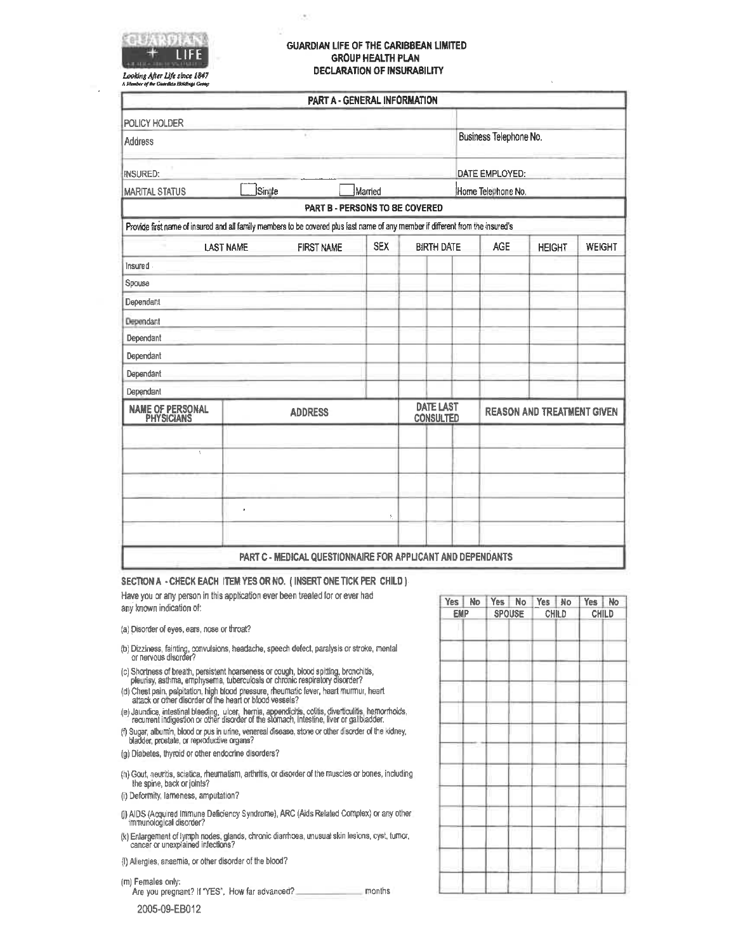

#### **GUARDIAN LIFE OF THE CARIBBEAN LIMITED GROUP HEALTH PLAN DECLARATION OF INSURABILITY**

Looking After Life since 1847 ÁМ of the Gu

|                                                                                                                                 |                  | PART A - GENERAL INFORMATION                                |            |                                      |                        |                                   |               |  |
|---------------------------------------------------------------------------------------------------------------------------------|------------------|-------------------------------------------------------------|------------|--------------------------------------|------------------------|-----------------------------------|---------------|--|
| POLICY HOLDER                                                                                                                   |                  |                                                             |            |                                      |                        |                                   |               |  |
| <b>Address</b>                                                                                                                  |                  |                                                             |            |                                      | Business Telephone No. |                                   |               |  |
| <b>INSURED:</b>                                                                                                                 |                  |                                                             |            |                                      | DATE EMPLOYED:         |                                   |               |  |
| <b>MARITAL STATUS</b>                                                                                                           | Single           |                                                             | Married    |                                      | Home Telephone No.     |                                   |               |  |
|                                                                                                                                 |                  | PART B - PERSONS TO BE COVERED                              |            |                                      |                        |                                   |               |  |
| Provide first name of insured and all family members to be covered plus last name of any member if different from the insured's |                  |                                                             |            |                                      |                        |                                   |               |  |
|                                                                                                                                 | <b>LAST NAME</b> | <b>FIRST NAME</b>                                           | <b>SEX</b> | <b>BIRTH DATE</b>                    | <b>AGE</b>             | <b>HEIGHT</b>                     | <b>WEIGHT</b> |  |
| Insured                                                                                                                         |                  |                                                             |            |                                      |                        |                                   |               |  |
| Spouse                                                                                                                          |                  |                                                             |            |                                      |                        |                                   |               |  |
| Dependant                                                                                                                       |                  |                                                             |            |                                      |                        |                                   |               |  |
| Dependant                                                                                                                       |                  |                                                             |            |                                      |                        |                                   |               |  |
| Dependant                                                                                                                       |                  |                                                             |            |                                      |                        |                                   |               |  |
| Dependant                                                                                                                       |                  |                                                             |            |                                      |                        |                                   |               |  |
| Dependant                                                                                                                       |                  |                                                             |            |                                      |                        |                                   |               |  |
| Dependant                                                                                                                       |                  |                                                             |            |                                      |                        |                                   |               |  |
| <b>NAME OF PERSONAL</b><br>PHYSICIANS                                                                                           |                  | <b>ADDRESS</b>                                              |            | <b>DATE LAST</b><br><b>CONSULTED</b> |                        | <b>REASON AND TREATMENT GIVEN</b> |               |  |
| ç                                                                                                                               |                  |                                                             |            |                                      |                        |                                   |               |  |
|                                                                                                                                 | ä,               | PART C - MEDICAL QUESTIONNAIRE FOR APPLICANT AND DEPENDANTS | X.         |                                      |                        |                                   |               |  |

SECTION A - CHECK EACH ITEM YES OR NO. (INSERT ONE TICK PER CHILD)

Have you or any person in this application ever been treated for or ever had any known indication of:

- (a) Disorder of eyes, ears, nose or throat?
- (b) Dizziness, fainting, convulsions, headache, speech defect, paralysis or stroke, mental or nervous disorder?
- (c) Shortness of breath, persistent hoarseness or cough, blood spitting, bronchitis, pleurisy, asthma, emphysema, tuberculosis or chronic respiratory disorder?
- (d) Chest pain, palpitation, high blood pressure, rheumatic fever, heart murmur, heart<br>attack or other disorder of the heart or blood vessels?
- (e) Jaundice, intestinal bleeding, ulcer, hernia, appendicitis, colitis, diverticulitis, hemorrhoids,<br>recurrent indigestion or other disorder of the stomach, intestine, liver or galibladder.
- (f) Sugar, albumin, blood or pus in unne, venereal disease, stone or other disorder of the kidney, bladder, prostate, or reproductive organs?
- (g) Diabetes, thyroid or other endocrine disorders?
- (h) Gout, neuritis, sciatica, rheumatism, arthritis, or disorder of the muscles or bones, including the spine, back or joints?
- (i) Deformity, lameness, amputation?
- (j) AIDS (Acquired Immune Deficiency Syndrome), ARC (Aids Related Complex) or any other immunological disorder?
- (k) Enlargement of lyrmph nodes, glands, chronic diarrhoea, unusual skin lesions, cyst, turnor, cancer or unexplained infections?
- (I) Allergies, anaemia, or other disorder of the blood?

(m) Females only:

Are you pregnant? If "YES", How far advanced? months

2005-09-EB012

|            | Yes No | Yes No        | Yes No |       | Yes No |  |
|------------|--------|---------------|--------|-------|--------|--|
| <b>EMP</b> |        | <b>SPOUSE</b> |        | CHILD | CHILD  |  |
|            |        |               |        |       |        |  |
|            |        |               |        |       |        |  |
|            |        |               |        |       |        |  |
|            |        |               |        |       |        |  |
|            |        |               |        |       |        |  |
|            |        |               |        |       |        |  |
|            |        |               |        |       |        |  |
|            |        |               |        |       |        |  |
|            |        |               |        |       |        |  |
|            |        |               |        |       |        |  |
|            |        |               |        |       |        |  |
|            |        |               |        |       |        |  |
|            |        |               |        |       |        |  |
|            |        |               |        |       |        |  |
|            |        |               |        |       |        |  |
|            |        |               |        |       |        |  |
|            |        |               |        |       |        |  |
|            |        |               |        |       |        |  |
|            |        |               |        |       |        |  |